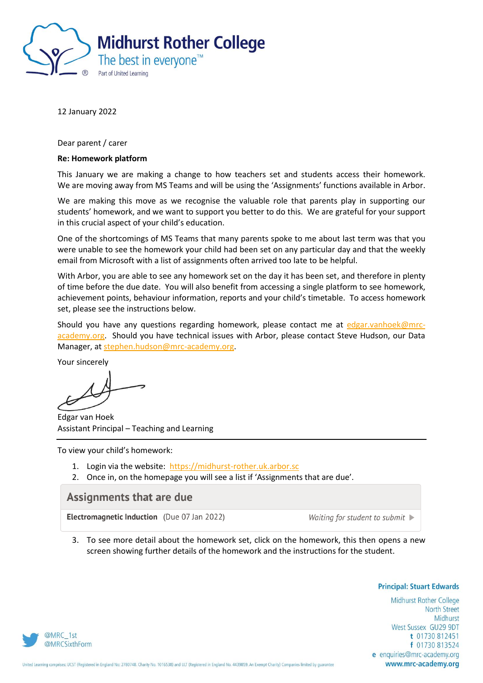

12 January 2022

Dear parent / carer

## **Re: Homework platform**

This January we are making a change to how teachers set and students access their homework. We are moving away from MS Teams and will be using the 'Assignments' functions available in Arbor.

We are making this move as we recognise the valuable role that parents play in supporting our students' homework, and we want to support you better to do this. We are grateful for your support in this crucial aspect of your child's education.

One of the shortcomings of MS Teams that many parents spoke to me about last term was that you were unable to see the homework your child had been set on any particular day and that the weekly email from Microsoft with a list of assignments often arrived too late to be helpful.

With Arbor, you are able to see any homework set on the day it has been set, and therefore in plenty of time before the due date. You will also benefit from accessing a single platform to see homework, achievement points, behaviour information, reports and your child's timetable. To access homework set, please see the instructions below.

Should you have any questions regarding homework, please contact me at [edgar.vanhoek@mrc](mailto:edgar.vanhoek@mrc-academy.org)[academy.org.](mailto:edgar.vanhoek@mrc-academy.org) Should you have technical issues with Arbor, please contact Steve Hudson, our Data Manager, at [stephen.hudson@mrc-academy.org.](mailto:stephen.hudson@mrc-academy.org)

Your sincerely

Edgar van Hoek Assistant Principal – Teaching and Learning

To view your child's homework:

- 1. Login via the website: [https://midhurst-rother.uk.arbor.sc](https://midhurst-rother.uk.arbor.sc/)
- 2. Once in, on the homepage you will see a list if 'Assignments that are due'.

## **Assignments that are due**

**Electromagnetic Induction** (Due 07 Jan 2022)

Waiting for student to submit  $\blacktriangleright$ 

3. To see more detail about the homework set, click on the homework, this then opens a new screen showing further details of the homework and the instructions for the student.

**Principal: Stuart Edwards** 

Midhurst Rother College **North Street** Midhurst West Sussex GU29 9DT t 01730 812451 f 01730 813524 e enquiries@mrc-academy.org www.mrc-academy.org